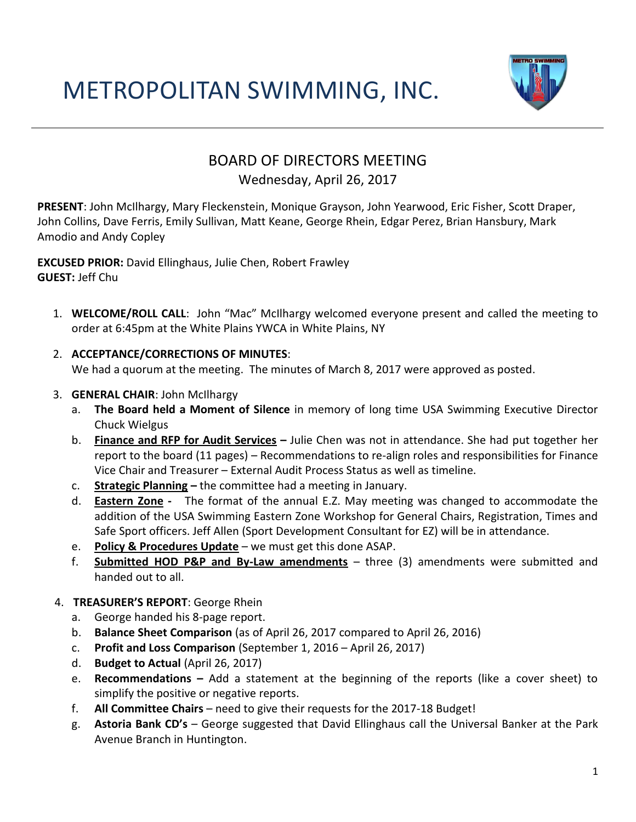# METROPOLITAN SWIMMING, INC.



# BOARD OF DIRECTORS MEETING

# Wednesday, April 26, 2017

**PRESENT**: John McIlhargy, Mary Fleckenstein, Monique Grayson, John Yearwood, Eric Fisher, Scott Draper, John Collins, Dave Ferris, Emily Sullivan, Matt Keane, George Rhein, Edgar Perez, Brian Hansbury, Mark Amodio and Andy Copley

**EXCUSED PRIOR:** David Ellinghaus, Julie Chen, Robert Frawley **GUEST:** Jeff Chu

- 1. **WELCOME/ROLL CALL**: John "Mac" McIlhargy welcomed everyone present and called the meeting to order at 6:45pm at the White Plains YWCA in White Plains, NY
- 2. **ACCEPTANCE/CORRECTIONS OF MINUTES**:

We had a quorum at the meeting. The minutes of March 8, 2017 were approved as posted.

#### 3. **GENERAL CHAIR**: John McIlhargy

- a. **The Board held a Moment of Silence** in memory of long time USA Swimming Executive Director Chuck Wielgus
- b. **Finance and RFP for Audit Services –** Julie Chen was not in attendance. She had put together her report to the board (11 pages) – Recommendations to re-align roles and responsibilities for Finance Vice Chair and Treasurer – External Audit Process Status as well as timeline.
- c. **Strategic Planning –** the committee had a meeting in January.
- d. **Eastern Zone** The format of the annual E.Z. May meeting was changed to accommodate the addition of the USA Swimming Eastern Zone Workshop for General Chairs, Registration, Times and Safe Sport officers. Jeff Allen (Sport Development Consultant for EZ) will be in attendance.
- e. **Policy & Procedures Update** we must get this done ASAP.
- f. **Submitted HOD P&P and By-Law amendments** three (3) amendments were submitted and handed out to all.
- 4. **TREASURER'S REPORT**: George Rhein
	- a. George handed his 8-page report.
	- b. **Balance Sheet Comparison** (as of April 26, 2017 compared to April 26, 2016)
	- c. **Profit and Loss Comparison** (September 1, 2016 April 26, 2017)
	- d. **Budget to Actual** (April 26, 2017)
	- e. **Recommendations –** Add a statement at the beginning of the reports (like a cover sheet) to simplify the positive or negative reports.
	- f. **All Committee Chairs**  need to give their requests for the 2017-18 Budget!
	- g. **Astoria Bank CD's**  George suggested that David Ellinghaus call the Universal Banker at the Park Avenue Branch in Huntington.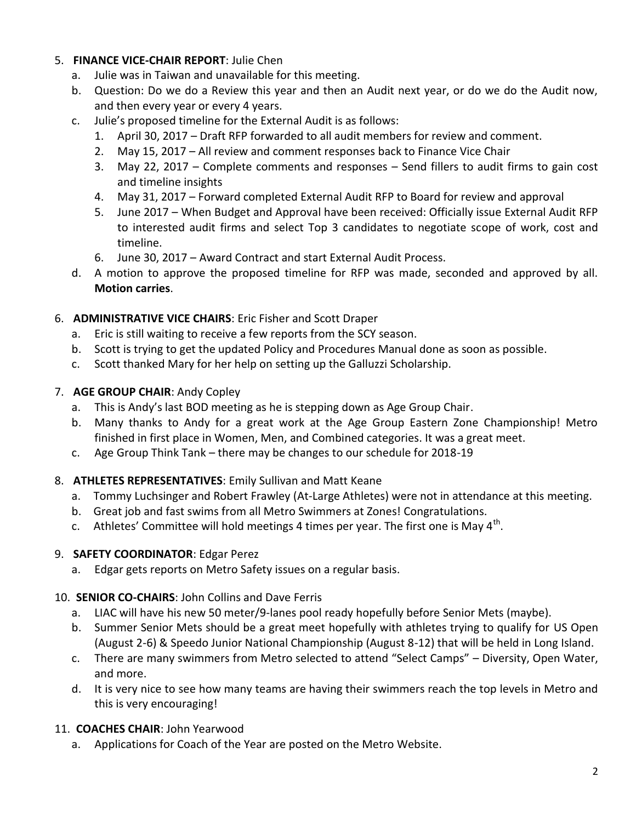#### 5. **FINANCE VICE-CHAIR REPORT**: Julie Chen

- a. Julie was in Taiwan and unavailable for this meeting.
- b. Question: Do we do a Review this year and then an Audit next year, or do we do the Audit now, and then every year or every 4 years.
- c. Julie's proposed timeline for the External Audit is as follows:
	- 1. April 30, 2017 Draft RFP forwarded to all audit members for review and comment.
	- 2. May 15, 2017 All review and comment responses back to Finance Vice Chair
	- 3. May 22, 2017 Complete comments and responses Send fillers to audit firms to gain cost and timeline insights
	- 4. May 31, 2017 Forward completed External Audit RFP to Board for review and approval
	- 5. June 2017 When Budget and Approval have been received: Officially issue External Audit RFP to interested audit firms and select Top 3 candidates to negotiate scope of work, cost and timeline.
	- 6. June 30, 2017 Award Contract and start External Audit Process.
- d. A motion to approve the proposed timeline for RFP was made, seconded and approved by all. **Motion carries**.

#### 6. **ADMINISTRATIVE VICE CHAIRS**: Eric Fisher and Scott Draper

- a. Eric is still waiting to receive a few reports from the SCY season.
- b. Scott is trying to get the updated Policy and Procedures Manual done as soon as possible.
- c. Scott thanked Mary for her help on setting up the Galluzzi Scholarship.

#### 7. **AGE GROUP CHAIR**: Andy Copley

- a. This is Andy's last BOD meeting as he is stepping down as Age Group Chair.
- b. Many thanks to Andy for a great work at the Age Group Eastern Zone Championship! Metro finished in first place in Women, Men, and Combined categories. It was a great meet.
- c. Age Group Think Tank there may be changes to our schedule for 2018-19

#### 8. **ATHLETES REPRESENTATIVES**: Emily Sullivan and Matt Keane

- a. Tommy Luchsinger and Robert Frawley (At-Large Athletes) were not in attendance at this meeting.
- b. Great job and fast swims from all Metro Swimmers at Zones! Congratulations.
- c. Athletes' Committee will hold meetings 4 times per year. The first one is May 4<sup>th</sup>.

#### 9. **SAFETY COORDINATOR**: Edgar Perez

a. Edgar gets reports on Metro Safety issues on a regular basis.

# 10. **SENIOR CO-CHAIRS**: John Collins and Dave Ferris

- a. LIAC will have his new 50 meter/9-lanes pool ready hopefully before Senior Mets (maybe).
- b. Summer Senior Mets should be a great meet hopefully with athletes trying to qualify for US Open (August 2-6) & Speedo Junior National Championship (August 8-12) that will be held in Long Island.
- c. There are many swimmers from Metro selected to attend "Select Camps" Diversity, Open Water, and more.
- d. It is very nice to see how many teams are having their swimmers reach the top levels in Metro and this is very encouraging!

# 11. **COACHES CHAIR**: John Yearwood

a. Applications for Coach of the Year are posted on the Metro Website.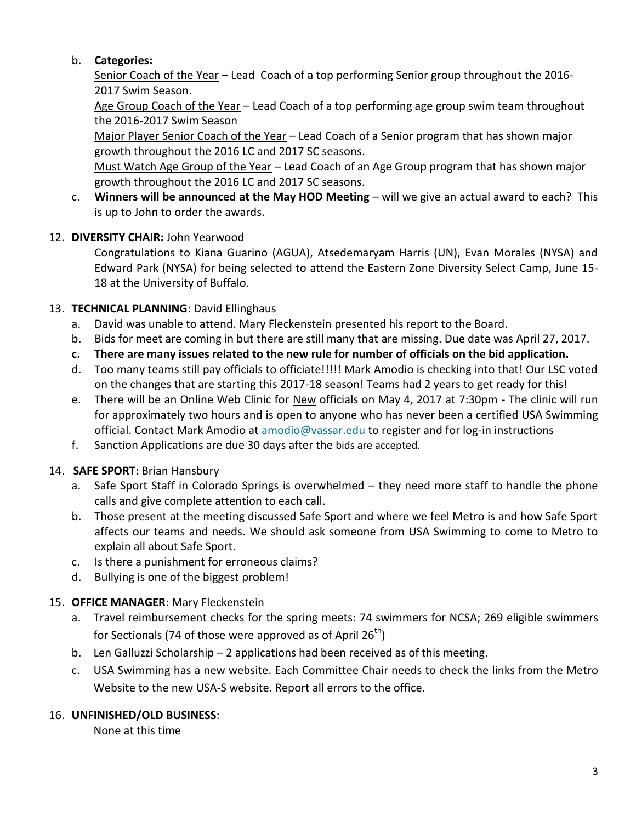# b. **Categories:**

Senior Coach of the Year – Lead Coach of a top performing Senior group throughout the 2016- 2017 Swim Season.

Age Group Coach of the Year - Lead Coach of a top performing age group swim team throughout the 2016-2017 Swim Season

Major Player Senior Coach of the Year - Lead Coach of a Senior program that has shown major growth throughout the 2016 LC and 2017 SC seasons.

Must Watch Age Group of the Year – Lead Coach of an Age Group program that has shown major growth throughout the 2016 LC and 2017 SC seasons.

c. **Winners will be announced at the May HOD Meeting** – will we give an actual award to each? This is up to John to order the awards.

#### 12. **DIVERSITY CHAIR:** John Yearwood

Congratulations to Kiana Guarino (AGUA), Atsedemaryam Harris (UN), Evan Morales (NYSA) and Edward Park (NYSA) for being selected to attend the Eastern Zone Diversity Select Camp, June 15- 18 at the University of Buffalo.

#### 13. **TECHNICAL PLANNING**: David Ellinghaus

- a. David was unable to attend. Mary Fleckenstein presented his report to the Board.
- b. Bids for meet are coming in but there are still many that are missing. Due date was April 27, 2017.
- **c. There are many issues related to the new rule for number of officials on the bid application.**
- d. Too many teams still pay officials to officiate!!!!! Mark Amodio is checking into that! Our LSC voted on the changes that are starting this 2017-18 season! Teams had 2 years to get ready for this!
- e. There will be an Online Web Clinic for New officials on May 4, 2017 at 7:30pm The clinic will run for approximately two hours and is open to anyone who has never been a certified USA Swimming official. Contact Mark Amodio at [amodio@vassar.edu](mailto:amodio@vassar.edu) to register and for log-in instructions
- f. Sanction Applications are due 30 days after the bids are accepted.

# 14. **SAFE SPORT:** Brian Hansbury

- a. Safe Sport Staff in Colorado Springs is overwhelmed they need more staff to handle the phone calls and give complete attention to each call.
- b. Those present at the meeting discussed Safe Sport and where we feel Metro is and how Safe Sport affects our teams and needs. We should ask someone from USA Swimming to come to Metro to explain all about Safe Sport.
- c. Is there a punishment for erroneous claims?
- d. Bullying is one of the biggest problem!

# 15. **OFFICE MANAGER**: Mary Fleckenstein

- a. Travel reimbursement checks for the spring meets: 74 swimmers for NCSA; 269 eligible swimmers for Sectionals (74 of those were approved as of April  $26<sup>th</sup>$ )
- b. Len Galluzzi Scholarship 2 applications had been received as of this meeting.
- c. USA Swimming has a new website. Each Committee Chair needs to check the links from the Metro Website to the new USA-S website. Report all errors to the office.

#### 16. **UNFINISHED/OLD BUSINESS**:

None at this time